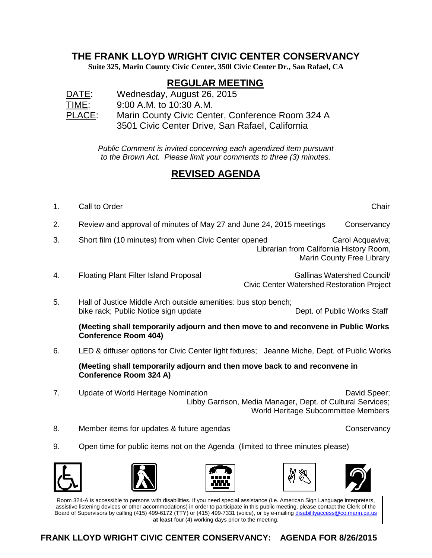## **THE FRANK LLOYD WRIGHT CIVIC CENTER CONSERVANCY**

**Suite 325, Marin County Civic Center, 350l Civic Center Dr., San Rafael, CA**

## **REGULAR MEETING**

DATE: Wednesday, August 26, 2015 TIME: 9:00 A.M. to 10:30 A.M. PLACE: Marin County Civic Center, Conference Room 324 A 3501 Civic Center Drive, San Rafael, California

> *Public Comment is invited concerning each agendized item pursuant to the Brown Act. Please limit your comments to three (3) minutes.*

## **REVISED AGENDA**

1. Call to Order Chair Chair Chair Chair Chair Chair Chair Chair Chair Chair Chair Chair Chair Chair Chair Chair

2. Review and approval of minutes of May 27 and June 24, 2015 meetings Conservancy

- 3. Short film (10 minutes) from when Civic Center opened Carol Acquaviva; Librarian from California History Room, Marin County Free Library
- 4. Floating Plant Filter Island Proposal Gallinas Watershed Council/ Civic Center Watershed Restoration Project
- 5. Hall of Justice Middle Arch outside amenities: bus stop bench; bike rack; Public Notice sign update Dept. of Public Works Staff

**(Meeting shall temporarily adjourn and then move to and reconvene in Public Works Conference Room 404)** 

6. LED & diffuser options for Civic Center light fixtures; Jeanne Miche, Dept. of Public Works

**(Meeting shall temporarily adjourn and then move back to and reconvene in Conference Room 324 A)**

- 7. Update of World Heritage Nomination **David Speer**; **David Speer**; Libby Garrison, Media Manager, Dept. of Cultural Services; World Heritage Subcommittee Members
- 8. Member items for updates & future agendas Conservancy Conservancy
- 9. Open time for public items not on the Agenda (limited to three minutes please)



Room 324-A is accessible to persons with disabilities. If you need special assistance (i.e. American Sign Language interpreters, assistive listening devices or other accommodations) in order to participate in this public meeting, please contact the Clerk of the Board of Supervisors by calling (415) 499-6172 (TTY) or (415) 499-7331 (voice), or by e-mailing [disabilityaccess@co.marin.ca.us](mailto:disabilityaccess@co.marin.ca.us) **at least** four (4) working days prior to the meeting.

**FRANK LLOYD WRIGHT CIVIC CENTER CONSERVANCY: AGENDA FOR 8/26/2015**